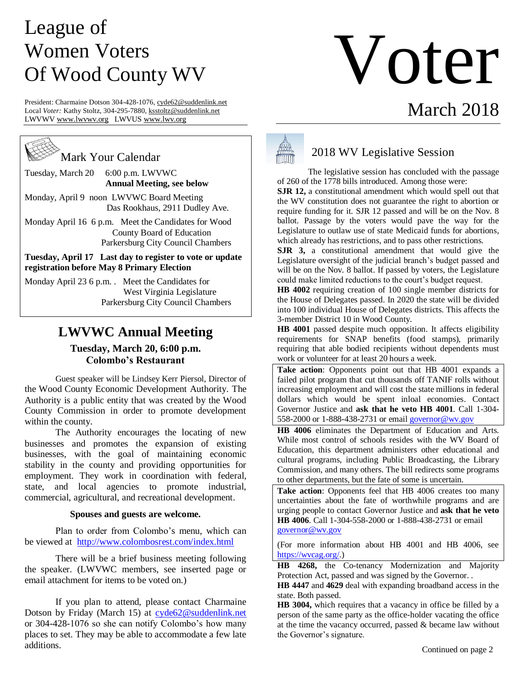# League of Women Voters Of Wood County WV

President: Charmaine Dotson 304-428-1076, cyde62@suddenlink.net Local *Voter:* Kathy Stoltz, 304-295-7880[, ksstoltz@suddenlink.net](mailto:ksstoltz@suddenlink.net) LWVW[V www.lwvwv.org](http://www.lwvwv.org/) LWVUS [www.lwv.org](http://www.lwv.org/)

Mark Your Calendar

Tuesday, March 20 6:00 p.m. LWVWC  **Annual Meeting, see below**

Monday, April 9 noon LWVWC Board Meeting Das Rookhaus, 2911 Dudley Ave.

Monday April 16 6 p.m. Meet the Candidates for Wood County Board of Education Parkersburg City Council Chambers

**Tuesday, April 17 Last day to register to vote or update registration before May 8 Primary Election**

Monday April 23 6 p.m. . Meet the Candidates for West Virginia Legislature Parkersburg City Council Chambers  $\overline{a}$ 

# **LWVWC Annual Meeting**

### **Tuesday, March 20, 6:00 p.m. Colombo's Restaurant**

Guest speaker will be Lindsey Kerr Piersol, Director of the Wood County Economic Development Authority. The Authority is a public entity that was created by the Wood County Commission in order to promote development within the county.

The Authority encourages the locating of new businesses and promotes the expansion of existing businesses, with the goal of maintaining economic stability in the county and providing opportunities for employment. They work in coordination with federal, state, and local agencies to promote industrial, commercial, agricultural, and recreational development.

#### **Spouses and guests are welcome.**

Plan to order from Colombo's menu, which can be viewed at <http://www.colombosrest.com/index.html>

There will be a brief business meeting following the speaker. (LWVWC members, see inserted page or email attachment for items to be voted on.)

If you plan to attend, please contact Charmaine Dotson by Friday (March 15) at [cyde62@suddenlink.net](mailto:cyde62@suddenlink.net) or 304-428-1076 so she can notify Colombo's how many places to set. They may be able to accommodate a few late additions.



## 2018 WV Legislative Session

The legislative session has concluded with the passage of 260 of the 1778 bills introduced. Among those were:

Voter

March 2018

**SJR 12,** a constitutional amendment which would spell out that the WV constitution does not guarantee the right to abortion or require funding for it. SJR 12 passed and will be on the Nov. 8 ballot. Passage by the voters would pave the way for the Legislature to outlaw use of state Medicaid funds for abortions, which already has restrictions, and to pass other restrictions.

**SJR 3,** a constitutional amendment that would give the Legislature oversight of the judicial branch's budget passed and will be on the Nov. 8 ballot. If passed by voters, the Legislature could make limited reductions to the court's budget request.

**HB 4002** requiring creation of 100 single member districts for the House of Delegates passed. In 2020 the state will be divided into 100 individual House of Delegates districts. This affects the 3-member District 10 in Wood County.

**HB 4001** passed despite much opposition. It affects eligibility requirements for SNAP benefits (food stamps), primarily requiring that able bodied recipients without dependents must work or volunteer for at least 20 hours a week.

**Take action**: Opponents point out that HB 4001 expands a failed pilot program that cut thousands off TANIF rolls without increasing employment and will cost the state millions in federal dollars which would be spent inloal economies. Contact Governor Justice and **ask that he veto HB 4001**. Call 1-304- 558-2000 or 1-888-438-2731 or emai[l governor@wv.gov](mailto:governor@wv.gov)

**HB 4006** eliminates the Department of Education and Arts. While most control of schools resides with the WV Board of Education, this department administers other educational and cultural programs, including Public Broadcasting, the Library Commission, and many others. The bill redirects some programs to other departments, but the fate of some is uncertain.

Take action: Opponents feel that HB 4006 creates too many uncertainties about the fate of worthwhile programs and are urging people to contact Governor Justice and **ask that he veto HB 4006**. Call 1-304-558-2000 or 1-888-438-2731 or email [governor@wv.gov](mailto:governor@wv.gov)

(For more information about HB 4001 and HB 4006, see [https://wvcag.org/.](https://wvcag.org/))

**HB 4268,** the Co-tenancy Modernization and Majority Protection Act, passed and was signed by the Governor. .

**HB 4447** and **4629** deal with expanding broadband access in the state. Both passed.

**HB 3004,** which requires that a vacancy in office be filled by a person of the same party as the office-holder vacating the office at the time the vacancy occurred, passed  $&$  became law without the Governor's signature.